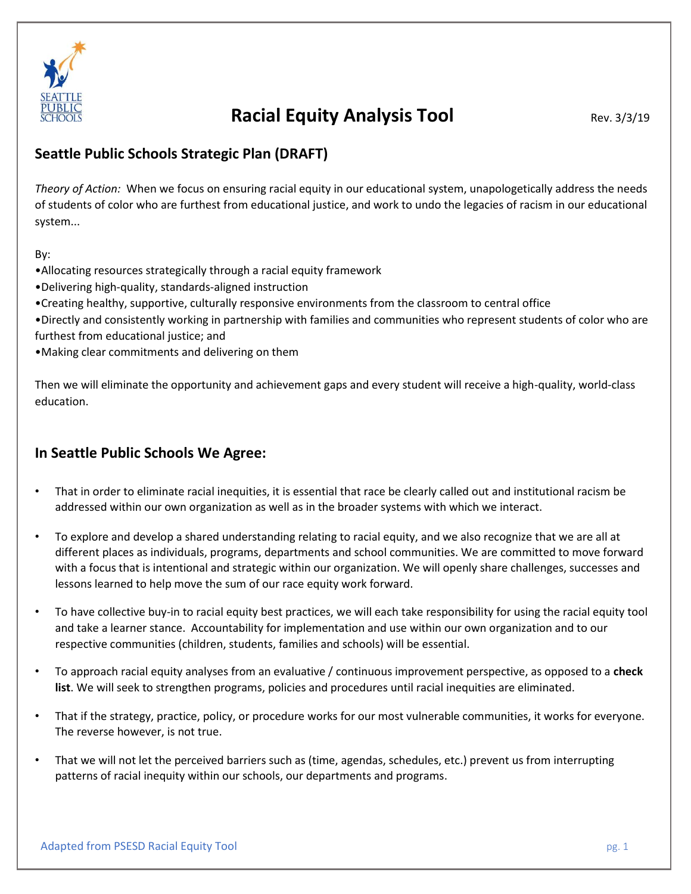

# **Racial Equity Analysis Tool** Rev. 3/3/19

### **Seattle Public Schools Strategic Plan (DRAFT)**

*Theory of Action:* When we focus on ensuring racial equity in our educational system, unapologetically address the needs of students of color who are furthest from educational justice, and work to undo the legacies of racism in our educational system...

By:

- •Allocating resources strategically through a racial equity framework
- •Delivering high-quality, standards-aligned instruction
- •Creating healthy, supportive, culturally responsive environments from the classroom to central office
- •Directly and consistently working in partnership with families and communities who represent students of color who are furthest from educational justice; and
- •Making clear commitments and delivering on them

Then we will eliminate the opportunity and achievement gaps and every student will receive a high-quality, world-class education.

#### **In Seattle Public Schools We Agree:**

- That in order to eliminate racial inequities, it is essential that race be clearly called out and institutional racism be addressed within our own organization as well as in the broader systems with which we interact.
- To explore and develop a shared understanding relating to racial equity, and we also recognize that we are all at different places as individuals, programs, departments and school communities. We are committed to move forward with a focus that is intentional and strategic within our organization. We will openly share challenges, successes and lessons learned to help move the sum of our race equity work forward.
- To have collective buy-in to racial equity best practices, we will each take responsibility for using the racial equity tool and take a learner stance. Accountability for implementation and use within our own organization and to our respective communities (children, students, families and schools) will be essential.
- To approach racial equity analyses from an evaluative / continuous improvement perspective, as opposed to a **check list**. We will seek to strengthen programs, policies and procedures until racial inequities are eliminated.
- That if the strategy, practice, policy, or procedure works for our most vulnerable communities, it works for everyone. The reverse however, is not true.
- That we will not let the perceived barriers such as (time, agendas, schedules, etc.) prevent us from interrupting patterns of racial inequity within our schools, our departments and programs.